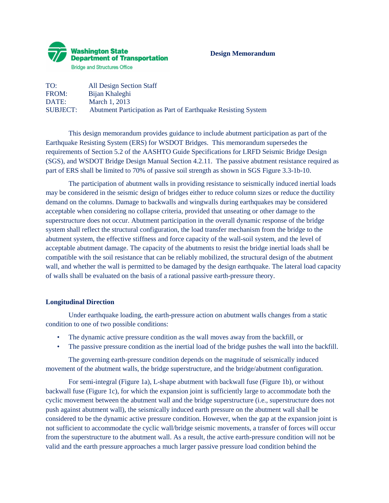

# **Design Memorandum**

| TO:             | All Design Section Staff                                      |
|-----------------|---------------------------------------------------------------|
| FROM:           | Bijan Khaleghi                                                |
| DATE:           | March 1, 2013                                                 |
| <b>SUBJECT:</b> | Abutment Participation as Part of Earthquake Resisting System |

This design memorandum provides guidance to include abutment participation as part of the Earthquake Resisting System (ERS) for WSDOT Bridges. This memorandum supersedes the requirements of Section 5.2 of the AASHTO Guide Specifications for LRFD Seismic Bridge Design (SGS), and WSDOT Bridge Design Manual Section 4.2.11. The passive abutment resistance required as part of ERS shall be limited to 70% of passive soil strength as shown in SGS Figure 3.3-1b-10.

The participation of abutment walls in providing resistance to seismically induced inertial loads may be considered in the seismic design of bridges either to reduce column sizes or reduce the ductility demand on the columns. Damage to backwalls and wingwalls during earthquakes may be considered acceptable when considering no collapse criteria, provided that unseating or other damage to the superstructure does not occur. Abutment participation in the overall dynamic response of the bridge system shall reflect the structural configuration, the load transfer mechanism from the bridge to the abutment system, the effective stiffness and force capacity of the wall-soil system, and the level of acceptable abutment damage. The capacity of the abutments to resist the bridge inertial loads shall be compatible with the soil resistance that can be reliably mobilized, the structural design of the abutment wall, and whether the wall is permitted to be damaged by the design earthquake. The lateral load capacity of walls shall be evaluated on the basis of a rational passive earth-pressure theory.

# **Longitudinal Direction**

Under earthquake loading, the earth-pressure action on abutment walls changes from a static condition to one of two possible conditions:

- The dynamic active pressure condition as the wall moves away from the backfill, or
- The passive pressure condition as the inertial load of the bridge pushes the wall into the backfill.

The governing earth-pressure condition depends on the magnitude of seismically induced movement of the abutment walls, the bridge superstructure, and the bridge/abutment configuration.

For semi-integral (Figure 1a), L-shape abutment with backwall fuse (Figure 1b), or without backwall fuse (Figure 1c), for which the expansion joint is sufficiently large to accommodate both the cyclic movement between the abutment wall and the bridge superstructure (i.e., superstructure does not push against abutment wall), the seismically induced earth pressure on the abutment wall shall be considered to be the dynamic active pressure condition. However, when the gap at the expansion joint is not sufficient to accommodate the cyclic wall/bridge seismic movements, a transfer of forces will occur from the superstructure to the abutment wall. As a result, the active earth-pressure condition will not be valid and the earth pressure approaches a much larger passive pressure load condition behind the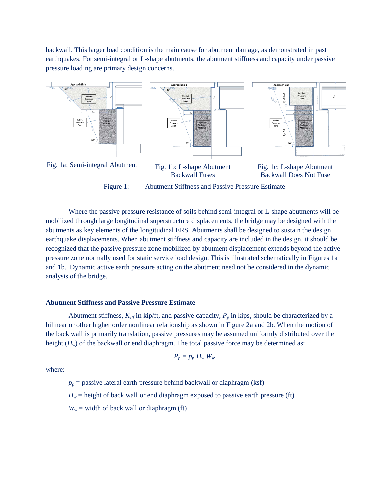backwall. This larger load condition is the main cause for abutment damage, as demonstrated in past earthquakes. For semi-integral or L-shape abutments, the abutment stiffness and capacity under passive pressure loading are primary design concerns.



Where the passive pressure resistance of soils behind semi-integral or L-shape abutments will be mobilized through large longitudinal superstructure displacements, the bridge may be designed with the abutments as key elements of the longitudinal ERS. Abutments shall be designed to sustain the design earthquake displacements. When abutment stiffness and capacity are included in the design, it should be recognized that the passive pressure zone mobilized by abutment displacement extends beyond the active pressure zone normally used for static service load design. This is illustrated schematically in Figures 1a and 1b. Dynamic active earth pressure acting on the abutment need not be considered in the dynamic analysis of the bridge.

## **Abutment Stiffness and Passive Pressure Estimate**

Abutment stiffness,  $K_{\text{eff}}$  in kip/ft, and passive capacity,  $P_p$  in kips, should be characterized by a bilinear or other higher order nonlinear relationship as shown in Figure 2a and 2b. When the motion of the back wall is primarily translation, passive pressures may be assumed uniformly distributed over the height ( $H_w$ ) of the backwall or end diaphragm. The total passive force may be determined as:

$$
P_p = p_p H_w W_w
$$

where:

 $p_p$  = passive lateral earth pressure behind backwall or diaphragm (ksf)  $H_w$  = height of back wall or end diaphragm exposed to passive earth pressure (ft)  $W_w$  = width of back wall or diaphragm (ft)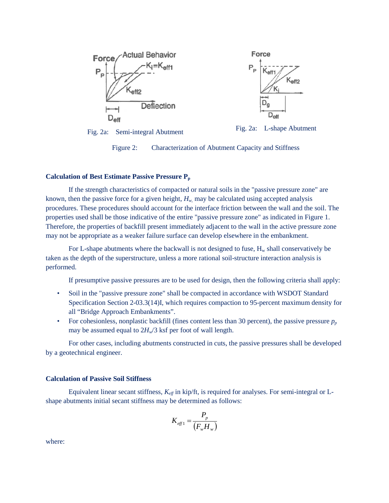

Force  $K_{\rm eff2}$  $D_{\text{eff}}$ 

Fig. 2a: Semi-integral Abutment Fig. 2a: L-shape Abutment



Figure 2: Characterization of Abutment Capacity and Stiffness

## **Calculation of Best Estimate Passive Pressure Pp**

If the strength characteristics of compacted or natural soils in the "passive pressure zone" are known, then the passive force for a given height,  $H_w$  may be calculated using accepted analysis procedures. These procedures should account for the interface friction between the wall and the soil. The properties used shall be those indicative of the entire "passive pressure zone" as indicated in Figure 1. Therefore, the properties of backfill present immediately adjacent to the wall in the active pressure zone may not be appropriate as a weaker failure surface can develop elsewhere in the embankment.

For L-shape abutments where the backwall is not designed to fuse,  $H_w$  shall conservatively be taken as the depth of the superstructure, unless a more rational soil-structure interaction analysis is performed.

If presumptive passive pressures are to be used for design, then the following criteria shall apply:

- Soil in the "passive pressure zone" shall be compacted in accordance with WSDOT Standard Specification Section 2-03.3(14)I, which requires compaction to 95-percent maximum density for all "Bridge Approach Embankments".
- For cohesionless, nonplastic backfill (fines content less than 30 percent), the passive pressure  $p_p$ may be assumed equal to  $2H_v/3$  ksf per foot of wall length.

For other cases, including abutments constructed in cuts, the passive pressures shall be developed by a geotechnical engineer.

### **Calculation of Passive Soil Stiffness**

Equivalent linear secant stiffness,  $K_{\text{eff}}$  in kip/ft, is required for analyses. For semi-integral or Lshape abutments initial secant stiffness may be determined as follows:

$$
K_{\text{eff}1} = \frac{P_p}{\left(F_w H_w\right)}
$$

where: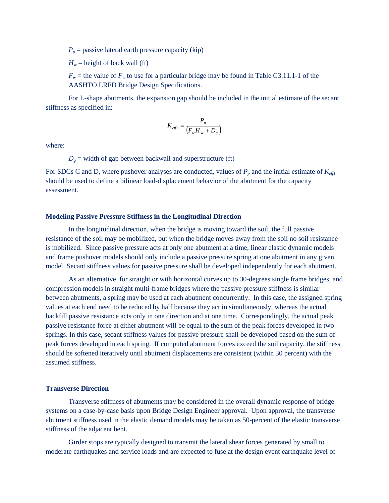$P_p$  = passive lateral earth pressure capacity (kip)

 $H_w$  = height of back wall (ft)

 $F_w$  = the value of  $F_w$  to use for a particular bridge may be found in Table C3.11.1-1 of the AASHTO LRFD Bridge Design Specifications.

For L-shape abutments, the expansion gap should be included in the initial estimate of the secant stiffness as specified in:

$$
K_{\text{eff 1}} = \frac{P_p}{\left(F_w H_w + D_g\right)}
$$

where:

 $D<sub>g</sub>$  = width of gap between backwall and superstructure (ft)

For SDCs C and D, where pushover analyses are conducted, values of  $P_p$  and the initial estimate of  $K_{\text{eff}}$ should be used to define a bilinear load-displacement behavior of the abutment for the capacity assessment.

## **Modeling Passive Pressure Stiffness in the Longitudinal Direction**

In the longitudinal direction, when the bridge is moving toward the soil, the full passive resistance of the soil may be mobilized, but when the bridge moves away from the soil no soil resistance is mobilized. Since passive pressure acts at only one abutment at a time, linear elastic dynamic models and frame pushover models should only include a passive pressure spring at one abutment in any given model. Secant stiffness values for passive pressure shall be developed independently for each abutment.

As an alternative, for straight or with horizontal curves up to 30-degrees single frame bridges, and compression models in straight multi-frame bridges where the passive pressure stiffness is similar between abutments, a spring may be used at each abutment concurrently. In this case, the assigned spring values at each end need to be reduced by half because they act in simultaneously, whereas the actual backfill passive resistance acts only in one direction and at one time. Correspondingly, the actual peak passive resistance force at either abutment will be equal to the sum of the peak forces developed in two springs. In this case, secant stiffness values for passive pressure shall be developed based on the sum of peak forces developed in each spring. If computed abutment forces exceed the soil capacity, the stiffness should be softened iteratively until abutment displacements are consistent (within 30 percent) with the assumed stiffness.

# **Transverse Direction**

Transverse stiffness of abutments may be considered in the overall dynamic response of bridge systems on a case-by-case basis upon Bridge Design Engineer approval. Upon approval, the transverse abutment stiffness used in the elastic demand models may be taken as 50-percent of the elastic transverse stiffness of the adjacent bent.

Girder stops are typically designed to transmit the lateral shear forces generated by small to moderate earthquakes and service loads and are expected to fuse at the design event earthquake level of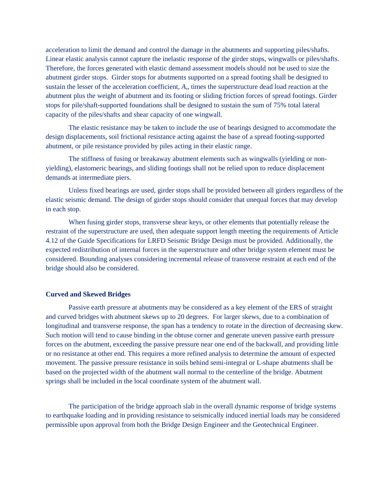acceleration to limit the demand and control the damage in the abutments and supporting piles/shafts. Linear elastic analysis cannot capture the inelastic response of the girder stops, wingwalls or piles/shafts. Therefore, the forces generated with elastic demand assessment models should not be used to size the abutment girder stops. Girder stops for abutments supported on a spread footing shall be designed to sustain the lesser of the acceleration coefficient, *As*, times the superstructure dead load reaction at the abutment plus the weight of abutment and its footing or sliding friction forces of spread footings. Girder stops for pile/shaft-supported foundations shall be designed to sustain the sum of 75% total lateral capacity of the piles/shafts and shear capacity of one wingwall.

The elastic resistance may be taken to include the use of bearings designed to accommodate the design displacements, soil frictional resistance acting against the base of a spread footing-supported abutment, or pile resistance provided by piles acting in their elastic range.

The stiffness of fusing or breakaway abutment elements such as wingwalls (yielding or nonyielding), elastomeric bearings, and sliding footings shall not be relied upon to reduce displacement demands at intermediate piers.

Unless fixed bearings are used, girder stops shall be provided between all girders regardless of the elastic seismic demand. The design of girder stops should consider that unequal forces that may develop in each stop.

When fusing girder stops, transverse shear keys, or other elements that potentially release the restraint of the superstructure are used, then adequate support length meeting the requirements of Article 4.12 of the Guide Specifications for LRFD Seismic Bridge Design must be provided. Additionally, the expected redistribution of internal forces in the superstructure and other bridge system element must be considered. Bounding analyses considering incremental release of transverse restraint at each end of the bridge should also be considered.

## **Curved and Skewed Bridges**

Passive earth pressure at abutments may be considered as a key element of the ERS of straight and curved bridges with abutment skews up to 20 degrees. For larger skews, due to a combination of longitudinal and transverse response, the span has a tendency to rotate in the direction of decreasing skew. Such motion will tend to cause binding in the obtuse corner and generate uneven passive earth pressure forces on the abutment, exceeding the passive pressure near one end of the backwall, and providing little or no resistance at other end. This requires a more refined analysis to determine the amount of expected movement. The passive pressure resistance in soils behind semi-integral or L-shape abutments shall be based on the projected width of the abutment wall normal to the centerline of the bridge. Abutment springs shall be included in the local coordinate system of the abutment wall.

The participation of the bridge approach slab in the overall dynamic response of bridge systems to earthquake loading and in providing resistance to seismically induced inertial loads may be considered permissible upon approval from both the Bridge Design Engineer and the Geotechnical Engineer.